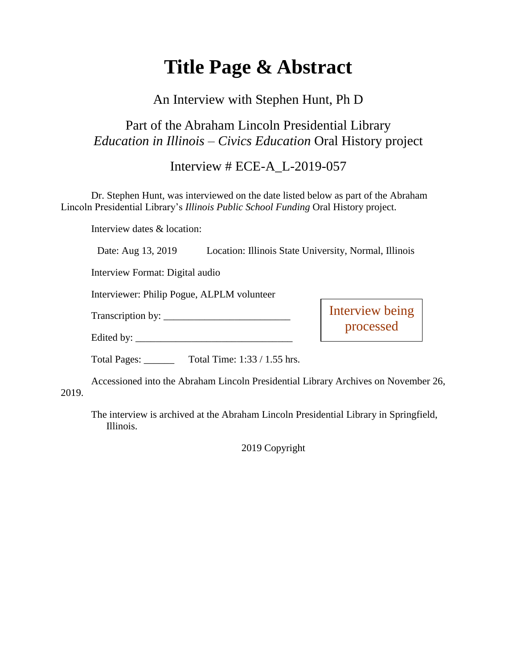# **Title Page & Abstract**

### An Interview with Stephen Hunt, Ph D

### Part of the Abraham Lincoln Presidential Library *Education in Illinois – Civics Education* Oral History project

### Interview # ECE-A\_L-2019-057

Dr. Stephen Hunt, was interviewed on the date listed below as part of the Abraham Lincoln Presidential Library's *Illinois Public School Funding* Oral History project.

Interview dates & location:

Date: Aug 13, 2019 Location: Illinois State University, Normal, Illinois

Interview Format: Digital audio

Interviewer: Philip Pogue, ALPLM volunteer

Transcription by: \_\_\_\_\_\_\_\_\_\_\_\_\_\_\_\_\_\_\_\_\_\_\_\_\_

Interview being processed

Edited by:

Total Pages: \_\_\_\_\_\_ Total Time: 1:33 / 1.55 hrs.

Accessioned into the Abraham Lincoln Presidential Library Archives on November 26, 2019.

The interview is archived at the Abraham Lincoln Presidential Library in Springfield, Illinois.

2019 Copyright